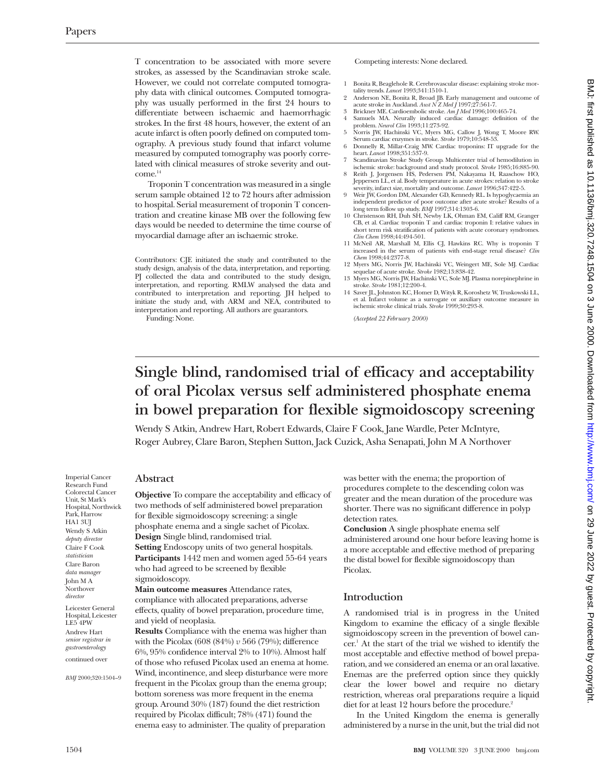T concentration to be associated with more severe strokes, as assessed by the Scandinavian stroke scale. However, we could not correlate computed tomography data with clinical outcomes. Computed tomography was usually performed in the first 24 hours to differentiate between ischaemic and haemorrhagic strokes. In the first 48 hours, however, the extent of an acute infarct is often poorly defined on computed tomography. A previous study found that infarct volume measured by computed tomography was poorly correlated with clinical measures of stroke severity and outcome.<sup>14</sup>

Troponin T concentration was measured in a single serum sample obtained 12 to 72 hours after admission to hospital. Serial measurement of troponin T concentration and creatine kinase MB over the following few days would be needed to determine the time course of myocardial damage after an ischaemic stroke.

Contributors: CJE initiated the study and contributed to the study design, analysis of the data, interpretation, and reporting. PJ collected the data and contributed to the study design, interpretation, and reporting. RMLW analysed the data and contributed to interpretation and reporting. JH helped to initiate the study and, with ARM and NEA, contributed to interpretation and reporting. All authors are guarantors.

Funding: None.

Competing interests: None declared.

- 1 Bonita R, Beaglehole R. Cerebrovascular disease: explaining stroke mortality trends. *Lancet* 1993;341:1510-1. 2 Anderson NE, Bonita R, Broad JB. Early management and outcome of
- acute stroke in Auckland. *Aust N Z Med J* 1997;27:561-7.
- 3 Brickner ME. Cardioembolic stroke. *Am J Med* 1996;100:465-74.
- 4 Samuels MA. Neurally induced cardiac damage: definition of the problem. *Neurol Clin* 1993;11:273-92.
- 5 Norris JW, Hachinski VC, Myers MG, Callow J, Wong T, Moore RW. Serum cardiac enzymes in stroke. *Stroke* 1979;10:548-53. 6 Donnelly R, Millar-Craig MW. Cardiac troponins: IT upgrade for the
- 
- heart. *Lancet* 1998;351:537-9. 7 Scandinavian Stroke Study Group. Multicenter trial of hemodilution in ischemic stroke: background and study protocol. *Stroke* 1985;16:885-90.
- 8 Reith J, Jorgensen HS, Pedersen PM, Nakayama H, Raaschow HO, Jeppersen LL, et al. Body temperature in acute strokes: relation to stroke severity, infarct size, mortality and outcome. *Lancet* 1996;347:422-5.
- 9 Weir JW, Gordon DM, Alexander GD, Kennedy RL. Is hypoglycaemia an independent predictor of poor outcome after acute stroke? Results of a long term follow up study. *BMJ* 1997;314:1303-6.
- 10 Christenson RH, Duh SH, Newby LK, Ohman EM, Califf RM, Granger CB, et al. Cardiac troponin T and cardiac troponin I: relative values in short term risk stratification of patients with acute coronary syndromes. *Clin Chem* 1998;44:494-501.
- 11 McNeil AR, Marshall M, Ellis CJ, Hawkins RC. Why is troponin T increased in the serum of patients with end-stage renal disease? *Clin Chem* 1998;44:2377-8.
- 12 Myers MG, Norris JW, Hachinski VC, Weingert ME, Sole MJ. Cardiac sequelae of acute stroke. *Stroke* 1982;13:838-42.
- 13 Myers MG, Norris JW, Hachinski VC, Sole MJ. Plasma norepinephrine in stroke. *Stroke* 1981;12:200-4.
- 14 Saver JL, Johnston KC, Homer D, Wityk R, Koroshetz W, Truskowski LL, et al. Infarct volume as a surrogate or auxiliary outcome measure in ischemic stroke clinical trials. *Stroke* 1999;30:293-8.

*(Accepted 22 February 2000)*

# **Single blind, randomised trial of efficacy and acceptability of oral Picolax versus self administered phosphate enema in bowel preparation for flexible sigmoidoscopy screening**

Wendy S Atkin, Andrew Hart, Robert Edwards, Claire F Cook, Jane Wardle, Peter McIntyre, Roger Aubrey, Clare Baron, Stephen Sutton, Jack Cuzick, Asha Senapati, John M A Northover

## **Abstract**

Imperial Cancer Research Fund Colorectal Cancer Unit, St Mark's Hospital, Northwick Park, Harrow HA1 3UJ Wendy S Atkin *deputy director* Claire F Cook *statistician* Clare Baron *data manager* John M A **Northover** *director*

Leicester General Hospital, Leicester LE5 4PW Andrew Hart *senior registrar in gastroenterology* continued over

*BMJ* 2000;320:1504–9

**Objective** To compare the acceptability and efficacy of two methods of self administered bowel preparation for flexible sigmoidoscopy screening: a single phosphate enema and a single sachet of Picolax. **Design** Single blind, randomised trial. **Setting** Endoscopy units of two general hospitals. **Participants** 1442 men and women aged 55-64 years who had agreed to be screened by flexible sigmoidoscopy.

**Main outcome measures** Attendance rates, compliance with allocated preparations, adverse effects, quality of bowel preparation, procedure time, and yield of neoplasia.

**Results** Compliance with the enema was higher than with the Picolax (608 (84%) *v* 566 (79%); difference 6%, 95% confidence interval 2% to 10%). Almost half of those who refused Picolax used an enema at home. Wind, incontinence, and sleep disturbance were more frequent in the Picolax group than the enema group; bottom soreness was more frequent in the enema group. Around 30% (187) found the diet restriction required by Picolax difficult; 78% (471) found the enema easy to administer. The quality of preparation

was better with the enema; the proportion of procedures complete to the descending colon was greater and the mean duration of the procedure was shorter. There was no significant difference in polyp detection rates.

**Conclusion** A single phosphate enema self administered around one hour before leaving home is a more acceptable and effective method of preparing the distal bowel for flexible sigmoidoscopy than Picolax.

#### **Introduction**

A randomised trial is in progress in the United Kingdom to examine the efficacy of a single flexible sigmoidoscopy screen in the prevention of bowel can- $\text{cer}^1$ . At the start of the trial we wished to identify the most acceptable and effective method of bowel preparation, and we considered an enema or an oral laxative. Enemas are the preferred option since they quickly clear the lower bowel and require no dietary restriction, whereas oral preparations require a liquid diet for at least 12 hours before the procedure.<sup>2</sup>

In the United Kingdom the enema is generally administered by a nurse in the unit, but the trial did not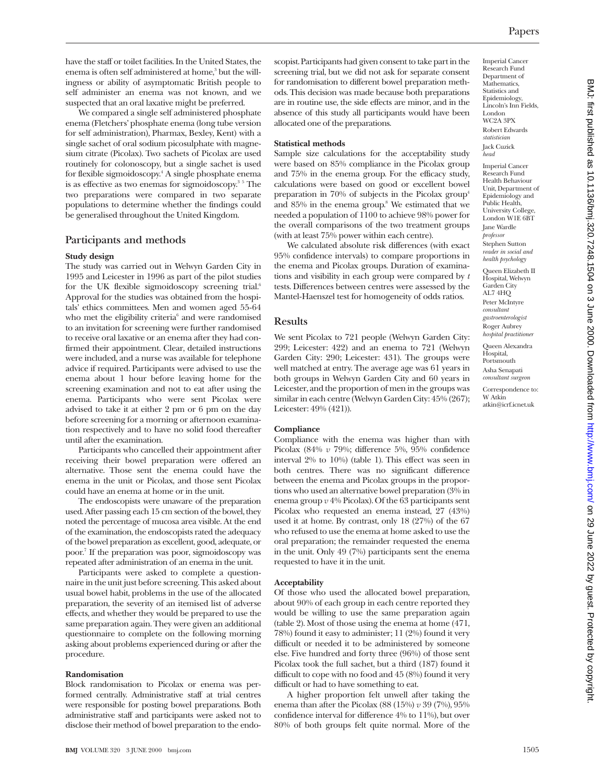Papers

Imperial Cancer Research Fund Department of Mathematics, Statistics and Epidemiology, Lincoln's Inn Fields, London WC2A 3PX Robert Edwards *statistician* Jack Cuzick *head*

Imperial Cancer Research Fund Health Behaviour Unit, Department of Epidemiology and Public Health University College, London W1E 6BT Jane Wardle *professor* Stephen Sutton *reader in social and health psychology* Queen Elizabeth II Hospital, Welwyn Garden City AL7 4HQ Peter McIntyre *consultant gastroenterologist* Roger Aubrey *hospital practitioner* Queen Alexandra Hospital, Portsmouth Asha Senapati *consultant surgeon* Correspondence to: W Atkin atkin@icrf.icnet.uk

have the staff or toilet facilities. In the United States, the enema is often self administered at home,<sup>3</sup> but the willingness or ability of asymptomatic British people to self administer an enema was not known, and we suspected that an oral laxative might be preferred.

We compared a single self administered phosphate enema (Fletchers' phosphate enema (long tube version for self administration), Pharmax, Bexley, Kent) with a single sachet of oral sodium picosulphate with magnesium citrate (Picolax). Two sachets of Picolax are used routinely for colonoscopy, but a single sachet is used for flexible sigmoidoscopy.4 A single phosphate enema is as effective as two enemas for sigmoidoscopy.<sup>3 5</sup> The two preparations were compared in two separate populations to determine whether the findings could be generalised throughout the United Kingdom.

### **Participants and methods**

#### **Study design**

The study was carried out in Welwyn Garden City in 1995 and Leicester in 1996 as part of the pilot studies for the UK flexible sigmoidoscopy screening trial.<sup>6</sup> Approval for the studies was obtained from the hospitals' ethics committees. Men and women aged 55-64 who met the eligibility criteria $6$  and were randomised to an invitation for screening were further randomised to receive oral laxative or an enema after they had confirmed their appointment. Clear, detailed instructions were included, and a nurse was available for telephone advice if required. Participants were advised to use the enema about 1 hour before leaving home for the screening examination and not to eat after using the enema. Participants who were sent Picolax were advised to take it at either 2 pm or 6 pm on the day before screening for a morning or afternoon examination respectively and to have no solid food thereafter until after the examination.

Participants who cancelled their appointment after receiving their bowel preparation were offered an alternative. Those sent the enema could have the enema in the unit or Picolax, and those sent Picolax could have an enema at home or in the unit.

The endoscopists were unaware of the preparation used. After passing each 15 cm section of the bowel, they noted the percentage of mucosa area visible. At the end of the examination, the endoscopists rated the adequacy of the bowel preparation as excellent, good, adequate, or poor.7 If the preparation was poor, sigmoidoscopy was repeated after administration of an enema in the unit.

Participants were asked to complete a questionnaire in the unit just before screening. This asked about usual bowel habit, problems in the use of the allocated preparation, the severity of an itemised list of adverse effects, and whether they would be prepared to use the same preparation again. They were given an additional questionnaire to complete on the following morning asking about problems experienced during or after the procedure.

#### **Randomisation**

Block randomisation to Picolax or enema was performed centrally. Administrative staff at trial centres were responsible for posting bowel preparations. Both administrative staff and participants were asked not to disclose their method of bowel preparation to the endo-

**BMJ** VOLUME 320 3 JUNE 2000 bmj.com 1505

scopist. Participants had given consent to take part in the screening trial, but we did not ask for separate consent for randomisation to different bowel preparation methods. This decision was made because both preparations are in routine use, the side effects are minor, and in the absence of this study all participants would have been allocated one of the preparations.

#### **Statistical methods**

Sample size calculations for the acceptability study were based on 85% compliance in the Picolax group and 75% in the enema group. For the efficacy study, calculations were based on good or excellent bowel preparation in  $70\%$  of subjects in the Picolax group<sup>4</sup> and  $85\%$  in the enema group.<sup>8</sup> We estimated that we needed a population of 1100 to achieve 98% power for the overall comparisons of the two treatment groups (with at least 75% power within each centre).

We calculated absolute risk differences (with exact 95% confidence intervals) to compare proportions in the enema and Picolax groups. Duration of examinations and visibility in each group were compared by *t* tests. Differences between centres were assessed by the Mantel-Haenszel test for homogeneity of odds ratios.

### **Results**

We sent Picolax to 721 people (Welwyn Garden City: 299; Leicester: 422) and an enema to 721 (Welwyn Garden City: 290; Leicester: 431). The groups were well matched at entry. The average age was 61 years in both groups in Welwyn Garden City and 60 years in Leicester, and the proportion of men in the groups was similar in each centre (Welwyn Garden City: 45% (267); Leicester: 49% (421)).

#### **Compliance**

Compliance with the enema was higher than with Picolax (84% *v* 79%; difference 5%, 95% confidence interval 2% to 10%) (table 1). This effect was seen in both centres. There was no significant difference between the enema and Picolax groups in the proportions who used an alternative bowel preparation (3% in enema group *v* 4% Picolax). Of the 63 participants sent Picolax who requested an enema instead, 27 (43%) used it at home. By contrast, only 18 (27%) of the 67 who refused to use the enema at home asked to use the oral preparation; the remainder requested the enema in the unit. Only 49 (7%) participants sent the enema requested to have it in the unit.

#### **Acceptability**

Of those who used the allocated bowel preparation, about 90% of each group in each centre reported they would be willing to use the same preparation again (table 2). Most of those using the enema at home (471, 78%) found it easy to administer; 11 (2%) found it very difficult or needed it to be administered by someone else. Five hundred and forty three (96%) of those sent Picolax took the full sachet, but a third (187) found it difficult to cope with no food and 45 (8%) found it very difficult or had to have something to eat.

A higher proportion felt unwell after taking the enema than after the Picolax (88 (15%) *v* 39 (7%), 95% confidence interval for difference 4% to 11%), but over 80% of both groups felt quite normal. More of the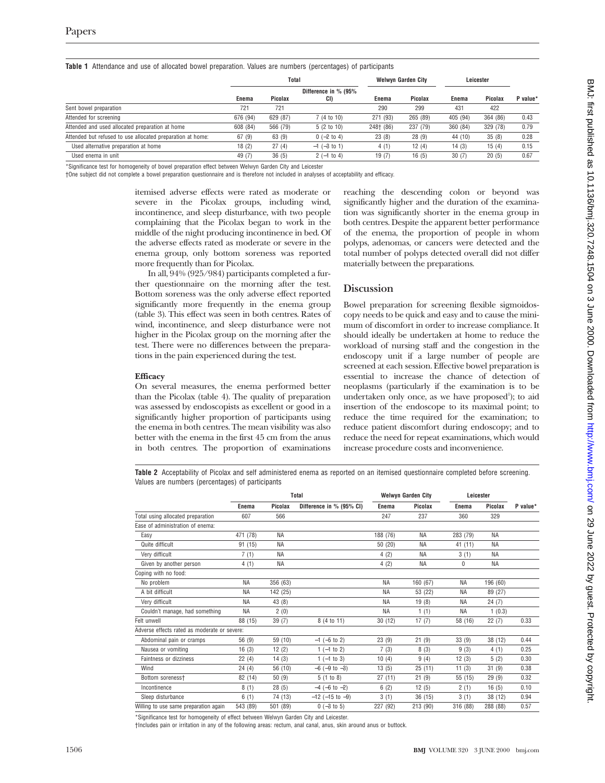| <b>TWRIS</b> I THISHAMHOO MHA WOO OF MHOOMIOM NOTIOF PHOPMHAMOHII TMMOO MIO HAHHNOTO (POTOOHIMQOO) OF PMILIOIPMHO |          |          |                      |                           |          |           |          |          |  |  |  |
|-------------------------------------------------------------------------------------------------------------------|----------|----------|----------------------|---------------------------|----------|-----------|----------|----------|--|--|--|
|                                                                                                                   | Total    |          |                      | <b>Welwyn Garden City</b> |          | Leicester |          |          |  |  |  |
|                                                                                                                   |          |          | Difference in % (95% |                           |          |           |          |          |  |  |  |
|                                                                                                                   | Enema    | Picolax  | CI)                  | Enema                     | Picolax  | Enema     | Picolax  | P value* |  |  |  |
| Sent bowel preparation                                                                                            | 721      | 721      |                      | 290                       | 299      | 431       | 422      |          |  |  |  |
| Attended for screening                                                                                            | 676 (94) | 629 (87) | 7 (4 to 10)          | 271 (93)                  | 265 (89) | 405 (94)  | 364 (86) | 0.43     |  |  |  |
| Attended and used allocated preparation at home                                                                   | 608 (84) | 566 (79) | 5(2 to 10)           | 248† (86)                 | 237 (79) | 360 (84)  | 329 (78) | 0.79     |  |  |  |
| Attended but refused to use allocated preparation at home:                                                        | 67(9)    | 63 (9)   | $0$ (-2 to 4)        | 23(8)                     | 28(9)    | 44 (10)   | 35(8)    | 0.28     |  |  |  |
| Used alternative preparation at home                                                                              | 18(2)    | 27(4)    | $-1$ $(-3$ to 1)     | 4(1)                      | 12(4)    | 14(3)     | 15 (4)   | 0.15     |  |  |  |
| Used enema in unit                                                                                                | 49 (7)   | 36(5)    | $2(-1)$ to 4)        | 19 (7)                    | 16 (5)   | 30(7)     | 20(5)    | 0.67     |  |  |  |

**Table 1** Attendance and use of allocated bowel preparation. Values are numbers (percentages) of participants

\*Significance test for homogeneity of bowel preparation effect between Welwyn Garden City and Leicester

†One subject did not complete a bowel preparation questionnaire and is therefore not included in analyses of acceptability and efficacy.

itemised adverse effects were rated as moderate or severe in the Picolax groups, including wind, incontinence, and sleep disturbance, with two people complaining that the Picolax began to work in the middle of the night producing incontinence in bed. Of the adverse effects rated as moderate or severe in the enema group, only bottom soreness was reported more frequently than for Picolax.

In all, 94% (925/984) participants completed a further questionnaire on the morning after the test. Bottom soreness was the only adverse effect reported significantly more frequently in the enema group (table 3). This effect was seen in both centres. Rates of wind, incontinence, and sleep disturbance were not higher in the Picolax group on the morning after the test. There were no differences between the preparations in the pain experienced during the test.

#### **Efficacy**

On several measures, the enema performed better than the Picolax (table 4). The quality of preparation was assessed by endoscopists as excellent or good in a significantly higher proportion of participants using the enema in both centres. The mean visibility was also better with the enema in the first 45 cm from the anus in both centres. The proportion of examinations

reaching the descending colon or beyond was significantly higher and the duration of the examination was significantly shorter in the enema group in both centres. Despite the apparent better performance of the enema, the proportion of people in whom polyps, adenomas, or cancers were detected and the total number of polyps detected overall did not differ materially between the preparations.

## **Discussion**

Bowel preparation for screening flexible sigmoidoscopy needs to be quick and easy and to cause the minimum of discomfort in order to increase compliance. It should ideally be undertaken at home to reduce the workload of nursing staff and the congestion in the endoscopy unit if a large number of people are screened at each session. Effective bowel preparation is essential to increase the chance of detection of neoplasms (particularly if the examination is to be undertaken only once, as we have proposed<sup>1</sup>); to aid insertion of the endoscope to its maximal point; to reduce the time required for the examination; to reduce patient discomfort during endoscopy; and to reduce the need for repeat examinations, which would increase procedure costs and inconvenience.

**Table 2** Acceptability of Picolax and self administered enema as reported on an itemised questionnaire completed before screening. Values are numbers (percentages) of participants

|                                              | Total     |           |                          | <b>Welwyn Garden City</b> |                | Leicester |                |          |
|----------------------------------------------|-----------|-----------|--------------------------|---------------------------|----------------|-----------|----------------|----------|
|                                              | Enema     | Picolax   | Difference in % (95% CI) | Enema                     | <b>Picolax</b> | Enema     | <b>Picolax</b> | P value* |
| Total using allocated preparation            | 607       | 566       |                          | 247                       | 237            | 360       | 329            |          |
| Ease of administration of enema:             |           |           |                          |                           |                |           |                |          |
| Easy                                         | 471 (78)  | <b>NA</b> |                          | 188 (76)                  | <b>NA</b>      | 283 (79)  | <b>NA</b>      |          |
| Quite difficult                              | 91(15)    | <b>NA</b> |                          | 50 (20)                   | <b>NA</b>      | 41 (11)   | <b>NA</b>      |          |
| Very difficult                               | 7(1)      | <b>NA</b> |                          | 4(2)                      | <b>NA</b>      | 3(1)      | <b>NA</b>      |          |
| Given by another person                      | 4(1)      | <b>NA</b> |                          | 4(2)                      | <b>NA</b>      | 0         | <b>NA</b>      |          |
| Coping with no food:                         |           |           |                          |                           |                |           |                |          |
| No problem                                   | <b>NA</b> | 356 (63)  |                          | <b>NA</b>                 | 160 (67)       | <b>NA</b> | 196 (60)       |          |
| A bit difficult                              | <b>NA</b> | 142 (25)  |                          | <b>NA</b>                 | 53 (22)        | <b>NA</b> | 89 (27)        |          |
| Very difficult                               | <b>NA</b> | 43(8)     |                          | <b>NA</b>                 | 19(8)          | <b>NA</b> | 24(7)          |          |
| Couldn't manage, had something               | <b>NA</b> | 2(0)      |                          | <b>NA</b>                 | 1(1)           | <b>NA</b> | 1(0.3)         |          |
| Felt unwell                                  | 88 (15)   | 39(7)     | 8 (4 to 11)              | 30(12)                    | 17 $(7)$       | 58 (16)   | 22(7)          | 0.33     |
| Adverse effects rated as moderate or severe: |           |           |                          |                           |                |           |                |          |
| Abdominal pain or cramps                     | 56(9)     | 59 (10)   | $-1$ (-5 to 2)           | 23(9)                     | 21(9)          | 33(9)     | 38 (12)        | 0.44     |
| Nausea or vomiting                           | 16(3)     | 12(2)     | $1$ (-1 to 2)            | 7(3)                      | 8(3)           | 9(3)      | 4(1)           | 0.25     |
| Faintness or dizziness                       | 22(4)     | 14(3)     | $1 (-1 to 3)$            | 10(4)                     | 9(4)           | 12(3)     | 5(2)           | 0.30     |
| Wind                                         | 24(4)     | 56 (10)   | $-6$ ( $-9$ to $-3$ )    | 13(5)                     | 25(11)         | 11(3)     | 31(9)          | 0.38     |
| Bottom soreness†                             | 82 (14)   | 50(9)     | 5(1 to 8)                | 27(11)                    | 21(9)          | 55 (15)   | 29(9)          | 0.32     |
| Incontinence                                 | 8(1)      | 28(5)     | $-4$ $(-6$ to $-2)$      | 6(2)                      | 12(5)          | 2(1)      | 16(5)          | 0.10     |
| Sleep disturbance                            | 6(1)      | 74 (13)   | $-12$ ( $-15$ to $-9$ )  | 3(1)                      | 36(15)         | 3(1)      | 38 (12)        | 0.94     |
| Willing to use same preparation again        | 543 (89)  | 501 (89)  | $0$ (-3 to 5)            | 227 (92)                  | 213 (90)       | 316 (88)  | 288 (88)       | 0.57     |

\*Significance test for homogeneity of effect between Welwyn Garden City and Leicester.

†Includes pain or irritation in any of the following areas: rectum, anal canal, anus, skin around anus or buttock.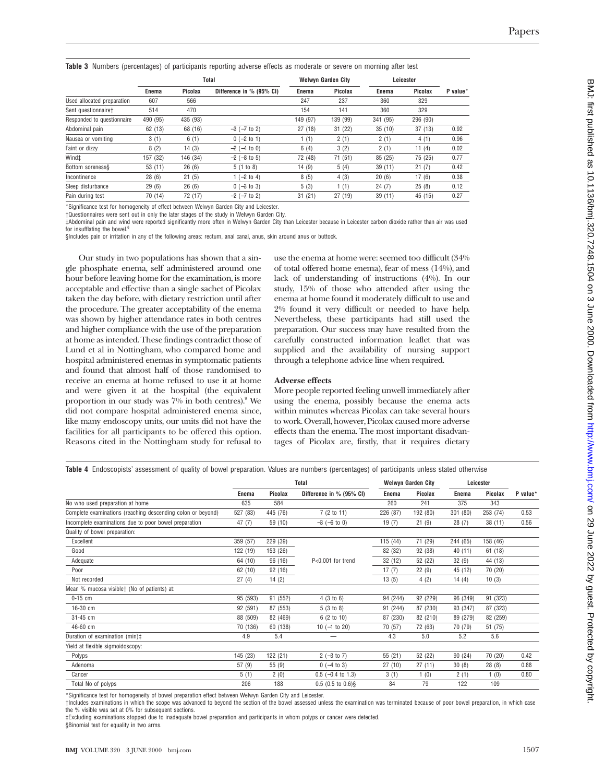**Table 3** Numbers (percentages) of participants reporting adverse effects as moderate or severe on morning after test

|                            | Total    |          |                          |          | <b>Welwyn Garden City</b> | Leicester |                |             |
|----------------------------|----------|----------|--------------------------|----------|---------------------------|-----------|----------------|-------------|
|                            | Enema    | Picolax  | Difference in % (95% CI) | Enema    | Picolax                   | Enema     | <b>Picolax</b> | P value $*$ |
| Used allocated preparation | 607      | 566      |                          | 247      | 237                       | 360       | 329            |             |
| Sent questionnaire†        | 514      | 470      |                          | 154      | 141                       | 360       | 329            |             |
| Responded to questionnaire | 490 (95) | 435 (93) |                          | 149 (97) | 139 (99)                  | 341 (95)  | 296 (90)       |             |
| Abdominal pain             | 62 (13)  | 68 (16)  | $-3$ ( $-7$ to 2)        | 27(18)   | 31(22)                    | 35(10)    | 37(13)         | 0.92        |
| Nausea or vomiting         | 3(1)     | 6(1)     | $0$ (-2 to 1)            | 1(1)     | 2(1)                      | 2(1)      | 4(1)           | 0.96        |
| Faint or dizzv             | 8(2)     | 14(3)    | $-2$ ( $-4$ to 0)        | 6(4)     | 3(2)                      | 2(1)      | 11 $(4)$       | 0.02        |
| Wind‡                      | 157 (32) | 146 (34) | $-2$ ( $-8$ to 5)        | 72 (48)  | 71(51)                    | 85 (25)   | 75 (25)        | 0.77        |
| Bottom soreness§           | 53(11)   | 26(6)    | 5(1 to 8)                | 14(9)    | 5(4)                      | 39(11)    | 21(7)          | 0.42        |
| Incontinence               | 28(6)    | 21(5)    | $1 (-2 to 4)$            | 8(5)     | 4(3)                      | 20(6)     | 17(6)          | 0.38        |
| Sleep disturbance          | 29(6)    | 26(6)    | $0$ (-3 to 3)            | 5(3)     | 1(1)                      | 24(7)     | 25(8)          | 0.12        |
| Pain during test           | 70 (14)  | 72 (17)  | $-2$ ( $-7$ to 2)        | 31(21)   | 27(19)                    | 39(11)    | 45 (15)        | 0.27        |

\*Significance test for homogeneity of effect between Welwyn Garden City and Leicester.

†Questionnaires were sent out in only the later stages of the study in Welwyn Garden City.

‡Abdominal pain and wind were reported significantly more often in Welwyn Garden City than Leicester because in Leicester carbon dioxide rather than air was used for insufflating the bowel.<sup>6</sup>

§Includes pain or irritation in any of the following areas: rectum, anal canal, anus, skin around anus or buttock.

Our study in two populations has shown that a single phosphate enema, self administered around one hour before leaving home for the examination, is more acceptable and effective than a single sachet of Picolax taken the day before, with dietary restriction until after the procedure. The greater acceptability of the enema was shown by higher attendance rates in both centres and higher compliance with the use of the preparation at home as intended. These findings contradict those of Lund et al in Nottingham, who compared home and hospital administered enemas in symptomatic patients and found that almost half of those randomised to receive an enema at home refused to use it at home and were given it at the hospital (the equivalent proportion in our study was 7% in both centres).9 We did not compare hospital administered enema since, like many endoscopy units, our units did not have the facilities for all participants to be offered this option. Reasons cited in the Nottingham study for refusal to

use the enema at home were: seemed too difficult (34% of total offered home enema), fear of mess (14%), and lack of understanding of instructions (4%). In our study, 15% of those who attended after using the enema at home found it moderately difficult to use and 2% found it very difficult or needed to have help. Nevertheless, these participants had still used the preparation. Our success may have resulted from the carefully constructed information leaflet that was supplied and the availability of nursing support through a telephone advice line when required.

#### **Adverse effects**

More people reported feeling unwell immediately after using the enema, possibly because the enema acts within minutes whereas Picolax can take several hours to work. Overall, however, Picolax caused more adverse effects than the enema. The most important disadvantages of Picolax are, firstly, that it requires dietary

**Table 4** Endoscopists' assessment of quality of bowel preparation. Values are numbers (percentages) of participants unless stated otherwise

|                                                             | Total    |          | <b>Welwyn Garden City</b> |          | Leicester |          |          |          |
|-------------------------------------------------------------|----------|----------|---------------------------|----------|-----------|----------|----------|----------|
|                                                             | Enema    | Picolax  | Difference in % (95% CI)  | Enema    | Picolax   | Enema    | Picolax  | P value* |
| No who used preparation at home                             | 635      | 584      |                           | 260      | 241       | 375      | 343      |          |
| Complete examinations (reaching descending colon or beyond) | 527 (83) | 445 (76) | 7(2 to 11)                | 226 (87) | 192 (80)  | 301(80)  | 253 (74) | 0.53     |
| Incomplete examinations due to poor bowel preparation       | 47(7)    | 59 (10)  | $-3$ ( $-6$ to 0)         | 19(7)    | 21(9)     | 28(7)    | 38(11)   | 0.56     |
| Quality of bowel preparation:                               |          |          |                           |          |           |          |          |          |
| Excellent                                                   | 359 (57) | 229 (39) |                           | 115(44)  | 71 (29)   | 244 (65) | 158 (46) |          |
| Good                                                        | 122 (19) | 153 (26) |                           | 82 (32)  | 92 (38)   | 40 (11)  | 61(18)   |          |
| Adequate                                                    | 64 (10)  | 96 (16)  | P<0.001 for trend         | 32 (12)  | 52 (22)   | 32(9)    | 44 (13)  |          |
| Poor                                                        | 62 (10)  | 92 (16)  |                           | 17(7)    | 22(9)     | 45 (12)  | 70 (20)  |          |
| Not recorded                                                | 27(4)    | 14(2)    |                           | 13(5)    | 4(2)      | 14(4)    | 10(3)    |          |
| Mean % mucosa visiblet (No of patients) at:                 |          |          |                           |          |           |          |          |          |
| $0-15$ cm                                                   | 95 (593) | 91 (552) | 4(3 to 6)                 | 94 (244) | 92 (229)  | 96 (349) | 91 (323) |          |
| 16-30 cm                                                    | 92 (591) | 87 (553) | 5(3 to 8)                 | 91 (244) | 87 (230)  | 93 (347) | 87 (323) |          |
| 31-45 cm                                                    | 88 (509) | 82 (469) | 6(2 to 10)                | 87 (230) | 82 (210)  | 89 (279) | 82 (259) |          |
| 46-60 cm                                                    | 70 (136) | 60 (138) | 10 $(-1)$ to 20)          | 70 (57)  | 72 (63)   | 70 (79)  | 51 (75)  |          |
| Duration of examination (min)‡                              | 4.9      | 5.4      |                           | 4.3      | 5.0       | 5.2      | 5.6      |          |
| Yield at flexible sigmoidoscopy:                            |          |          |                           |          |           |          |          |          |
| Polyps                                                      | 145 (23) | 122 (21) | $2 (-3 to 7)$             | 55(21)   | 52 (22)   | 90(24)   | 70 (20)  | 0.42     |
| Adenoma                                                     | 57(9)    | 55(9)    | $0$ (-4 to 3)             | 27(10)   | 27(11)    | 30(8)    | 28(8)    | 0.88     |
| Cancer                                                      | 5(1)     | 2(0)     | $0.5$ (-0.4 to 1.3)       | 3(1)     | 1(0)      | 2(1)     | 1(0)     | 0.80     |
| Total No of polyps                                          | 206      | 188      | $0.5$ (0.5 to 0.6)§       | 84       | 79        | 122      | 109      |          |

\*Significance test for homogeneity of bowel preparation effect between Welwyn Garden City and Leicester.

†Includes examinations in which the scope was advanced to beyond the section of the bowel assessed unless the examination was terminated because of poor bowel preparation, in which case the % visible was set at 0% for subsequent sections.

‡Excluding examinations stopped due to inadequate bowel preparation and participants in whom polyps or cancer were detected.

§Binomial test for equality in two arms.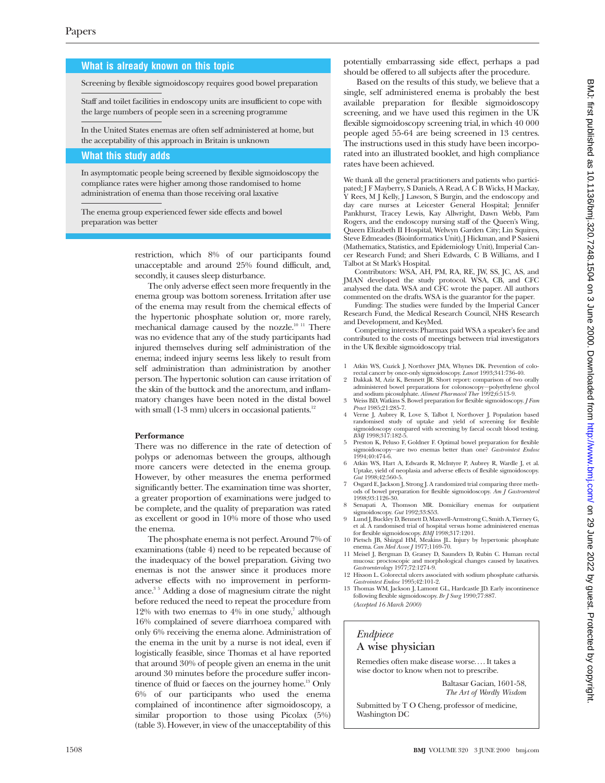## **What is already known on this topic**

Screening by flexible sigmoidoscopy requires good bowel preparation

Staff and toilet facilities in endoscopy units are insufficient to cope with the large numbers of people seen in a screening programme

In the United States enemas are often self administered at home, but the acceptability of this approach in Britain is unknown

#### **What this study adds**

In asymptomatic people being screened by flexible sigmoidoscopy the compliance rates were higher among those randomised to home administration of enema than those receiving oral laxative

The enema group experienced fewer side effects and bowel preparation was better

> restriction, which 8% of our participants found unacceptable and around 25% found difficult, and, secondly, it causes sleep disturbance.

> The only adverse effect seen more frequently in the enema group was bottom soreness. Irritation after use of the enema may result from the chemical effects of the hypertonic phosphate solution or, more rarely, mechanical damage caused by the nozzle.10 11 There was no evidence that any of the study participants had injured themselves during self administration of the enema; indeed injury seems less likely to result from self administration than administration by another person. The hypertonic solution can cause irritation of the skin of the buttock and the anorectum, and inflammatory changes have been noted in the distal bowel with small  $(1-3 \text{ mm})$  ulcers in occasional patients.<sup>12</sup>

#### **Performance**

There was no difference in the rate of detection of polyps or adenomas between the groups, although more cancers were detected in the enema group. However, by other measures the enema performed significantly better. The examination time was shorter, a greater proportion of examinations were judged to be complete, and the quality of preparation was rated as excellent or good in 10% more of those who used the enema.

The phosphate enema is not perfect. Around 7% of examinations (table 4) need to be repeated because of the inadequacy of the bowel preparation. Giving two enemas is not the answer since it produces more adverse effects with no improvement in performance.<sup>3</sup> 5 Adding a dose of magnesium citrate the night before reduced the need to repeat the procedure from 12% with two enemas to  $4\%$  in one study,<sup>7</sup> although 16% complained of severe diarrhoea compared with only 6% receiving the enema alone. Administration of the enema in the unit by a nurse is not ideal, even if logistically feasible, since Thomas et al have reported that around 30% of people given an enema in the unit around 30 minutes before the procedure suffer incontinence of fluid or faeces on the journey home.<sup>13</sup> Only 6% of our participants who used the enema complained of incontinence after sigmoidoscopy, a similar proportion to those using Picolax (5%) (table 3). However, in view of the unacceptability of this

potentially embarrassing side effect, perhaps a pad should be offered to all subjects after the procedure.

Based on the results of this study, we believe that a single, self administered enema is probably the best available preparation for flexible sigmoidoscopy screening, and we have used this regimen in the UK flexible sigmoidoscopy screening trial, in which 40 000 people aged 55-64 are being screened in 13 centres. The instructions used in this study have been incorporated into an illustrated booklet, and high compliance rates have been achieved.

We thank all the general practitioners and patients who participated; J F Mayberry, S Daniels, A Read, A C B Wicks, H Mackay, Y Rees, M J Kelly, J Lawson, S Burgin, and the endoscopy and day care nurses at Leicester General Hospital; Jennifer Pankhurst, Tracey Lewis, Kay Allwright, Dawn Webb, Pam Rogers, and the endoscopy nursing staff of the Queen's Wing, Queen Elizabeth II Hospital, Welwyn Garden City; Lin Squires, Steve Edmeades (Bioinformatics Unit), J Hickman, and P Sasieni (Mathematics, Statistics, and Epidemiology Unit), Imperial Cancer Research Fund; and Sheri Edwards, C B Williams, and I Talbot at St Mark's Hospital.

Contributors: WSA, AH, PM, RA, RE, JW, SS, JC, AS, and JMAN developed the study protocol. WSA, CB, and CFC analysed the data. WSA and CFC wrote the paper. All authors commented on the drafts. WSA is the guarantor for the paper.

Funding: The studies were funded by the Imperial Cancer Research Fund, the Medical Research Council, NHS Research and Development, and KeyMed.

Competing interests: Pharmax paid WSA a speaker's fee and contributed to the costs of meetings between trial investigators in the UK flexible sigmoidoscopy trial.

- 1 Atkin WS, Cuzick J, Northover JMA, Whynes DK. Prevention of colorectal cancer by once-only sigmoidoscopy. *Lancet* 1993;341:736-40.
- 2 Dakkak M, Aziz K, Bennett JR. Short report: comparison of two orally administered bowel preparations for colonoscopy—polyethylene glycol and sodium picosulphate. *Aliment Pharmacol Ther* 1992;6:513-9.
- 3 Weiss BD, Watkins S. Bowel preparation for flexible sigmoidoscopy. *J Fam Pract* 1985;21:285-7.
- 4 Verne J, Aubrey R, Love S, Talbot I, Northover J. Population based randomised study of uptake and yield of screening for flexible sigmoidoscopy compared with screening by faecal occult blood testing. *BMJ* 1998;317:182-5.
- 5 Preston K, Peluso F, Goldner F. Optimal bowel preparation for flexible sigmoidoscopy—are two enemas better than one? *Gastrointest Endosc* 1994;40:474-6.
- 6 Atkin WS, Hart A, Edwards R, McIntyre P, Aubrey R, Wardle J, et al. Uptake, yield of neoplasia and adverse effects of flexible sigmoidoscopy. *Gut* 1998;42:560-5.
- 7 Osgard E, Jackson J, Strong J. A randomized trial comparing three meth-ods of bowel preparation for flexible sigmoidoscopy. *Am J Gastroenterol* 1998;93:1126-30.
- 8 Senapati A, Thomson MR. Domiciliary enemas for outpatient
- sigmoidoscopy. *Gut* 1992;33:S53. 9 Lund J, Buckley D, Bennett D, Maxwell-Armstrong C, Smith A, Tierney G,
- et al. A randomised trial of hospital versus home administered enemas<br>for flexible sigmoidoscopy. *BM* 1998;317:1201.<br>10 Pietsch JB, Shizgal HM, Meakins JL. Injury by hypertonic phosphate<br>enema. *Can Med Assoc J* 1977;1169
- 11 Meisel J, Bergman D, Graney D, Saunders D, Rubin C. Human rectal mucosa: proctoscopic and morphological changes caused by laxatives.
- *Gastroenterology* 1977;72:1274-9. 12 Hixson L. Colorectal ulcers associated with sodium phosphate catharsis. *Gastrointest Endosc* 1995;42:101-2.
- 13 Thomas WM, Jackson J, Lamont GL, Hardcastle JD. Early incontinence following flexible sigmoidoscopy. *Br J Surg* 1990;77:887. *(Accepted 16 March 2000)*

# *Endpiece* **A wise physician**

Remedies often make disease worse. . . . It takes a wise doctor to know when not to prescribe.

> Baltasar Gacian, 1601-58, *The Art of Wordly Wisdom*

Submitted by T O Cheng, professor of medicine, Washington DC